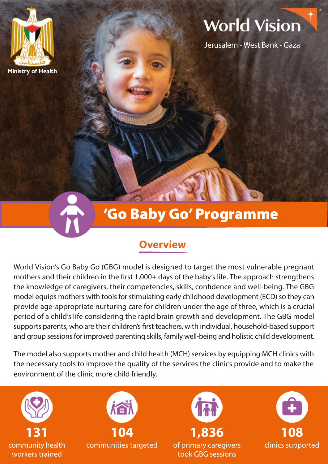

# **World Vision**

Jerusalem - West Bank - Gaza

# 'Go Baby Go' Programme

### **Overview**

World Vision's Go Baby Go (GBG) model is designed to target the most vulnerable pregnant mothers and their children in the first 1,000+ days of the baby's life. The approach strengthens the knowledge of caregivers, their competencies, skills, confidence and well-being. The GBG model equips mothers with tools for stimulating early childhood development (ECD) so they can provide age-appropriate nurturing care for children under the age of three, which is a crucial period of a child's life considering the rapid brain growth and development. The GBG model supports parents, who are their children's first teachers, with individual, household-based support and group sessions for improved parenting skills, family well-being and holistic child development.

The model also supports mother and child health (MCH) services by equipping MCH clinics with the necessary tools to improve the quality of the services the clinics provide and to make the environment of the clinic more child friendly.

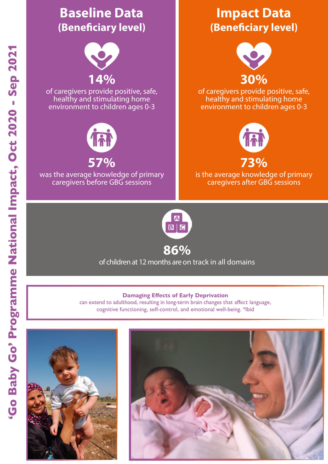



'Go Baby Go' Programme National Impact, Oct 2020 - Sep 2021

'Go Baby Go' Programme National Impact, Oct 2020 - Sep 2021